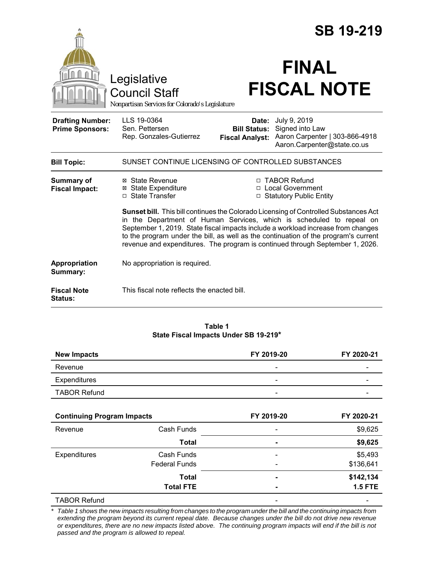|                                                   |                                                                                                                                                                                                                                                                                                                                                                                                                          |                                                        | <b>SB 19-219</b>                                                                                 |  |  |
|---------------------------------------------------|--------------------------------------------------------------------------------------------------------------------------------------------------------------------------------------------------------------------------------------------------------------------------------------------------------------------------------------------------------------------------------------------------------------------------|--------------------------------------------------------|--------------------------------------------------------------------------------------------------|--|--|
|                                                   | Legislative<br><b>Council Staff</b><br>Nonpartisan Services for Colorado's Legislature                                                                                                                                                                                                                                                                                                                                   |                                                        | <b>FINAL</b><br><b>FISCAL NOTE</b>                                                               |  |  |
| <b>Drafting Number:</b><br><b>Prime Sponsors:</b> | LLS 19-0364<br>Sen. Pettersen<br>Rep. Gonzales-Gutierrez                                                                                                                                                                                                                                                                                                                                                                 | Date:<br><b>Bill Status:</b><br><b>Fiscal Analyst:</b> | July 9, 2019<br>Signed into Law<br>Aaron Carpenter   303-866-4918<br>Aaron.Carpenter@state.co.us |  |  |
| <b>Bill Topic:</b>                                | SUNSET CONTINUE LICENSING OF CONTROLLED SUBSTANCES                                                                                                                                                                                                                                                                                                                                                                       |                                                        |                                                                                                  |  |  |
| Summary of<br><b>Fiscal Impact:</b>               | ⊠ State Revenue<br><b>⊠ State Expenditure</b><br>□ State Transfer                                                                                                                                                                                                                                                                                                                                                        | $\Box$                                                 | □ TABOR Refund<br>□ Local Government<br><b>Statutory Public Entity</b>                           |  |  |
|                                                   | Sunset bill. This bill continues the Colorado Licensing of Controlled Substances Act<br>in the Department of Human Services, which is scheduled to repeal on<br>September 1, 2019. State fiscal impacts include a workload increase from changes<br>to the program under the bill, as well as the continuation of the program's current<br>revenue and expenditures. The program is continued through September 1, 2026. |                                                        |                                                                                                  |  |  |
| Appropriation<br>Summary:                         | No appropriation is required.                                                                                                                                                                                                                                                                                                                                                                                            |                                                        |                                                                                                  |  |  |
| <b>Fiscal Note</b><br>Status:                     | This fiscal note reflects the enacted bill.                                                                                                                                                                                                                                                                                                                                                                              |                                                        |                                                                                                  |  |  |

#### **Table 1 State Fiscal Impacts Under SB 19-219\***

| <b>New Impacts</b>  | FY 2019-20 | FY 2020-21 |
|---------------------|------------|------------|
| Revenue             | -          | -          |
| Expenditures        | -          | -          |
| <b>TABOR Refund</b> | -          | -          |

| <b>Continuing Program Impacts</b> |                      | FY 2019-20               | FY 2020-21     |
|-----------------------------------|----------------------|--------------------------|----------------|
| Revenue                           | Cash Funds           | $\overline{\phantom{0}}$ | \$9,625        |
|                                   | <b>Total</b>         | ۰                        | \$9,625        |
| <b>Expenditures</b>               | Cash Funds           |                          | \$5,493        |
|                                   | <b>Federal Funds</b> | $\qquad \qquad$          | \$136,641      |
|                                   | Total                |                          | \$142,134      |
|                                   | <b>Total FTE</b>     | ۰                        | <b>1.5 FTE</b> |
| <b>TABOR Refund</b>               |                      |                          |                |

\* Table 1 shows the new impacts resulting from changes to the program under the bill and the continuing impacts from *extending the program beyond its current repeal date. Because changes under the bill do not drive new revenue or expenditures, there are no new impacts listed above. The continuing program impacts will end if the bill is not passed and the program is allowed to repeal.*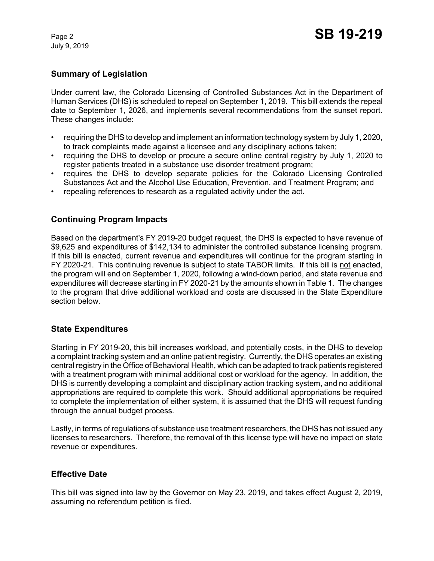July 9, 2019

# **Summary of Legislation**

Under current law, the Colorado Licensing of Controlled Substances Act in the Department of Human Services (DHS) is scheduled to repeal on September 1, 2019. This bill extends the repeal date to September 1, 2026, and implements several recommendations from the sunset report. These changes include:

- requiring the DHS to develop and implement an information technology system by July 1, 2020, to track complaints made against a licensee and any disciplinary actions taken;
- requiring the DHS to develop or procure a secure online central registry by July 1, 2020 to register patients treated in a substance use disorder treatment program;
- requires the DHS to develop separate policies for the Colorado Licensing Controlled Substances Act and the Alcohol Use Education, Prevention, and Treatment Program; and
- repealing references to research as a regulated activity under the act.

## **Continuing Program Impacts**

Based on the department's FY 2019-20 budget request, the DHS is expected to have revenue of \$9,625 and expenditures of \$142,134 to administer the controlled substance licensing program. If this bill is enacted, current revenue and expenditures will continue for the program starting in FY 2020-21. This continuing revenue is subject to state TABOR limits. If this bill is not enacted, the program will end on September 1, 2020, following a wind-down period, and state revenue and expenditures will decrease starting in FY 2020-21 by the amounts shown in Table 1. The changes to the program that drive additional workload and costs are discussed in the State Expenditure section below.

### **State Expenditures**

Starting in FY 2019-20, this bill increases workload, and potentially costs, in the DHS to develop a complaint tracking system and an online patient registry. Currently, the DHS operates an existing central registry in the Office of Behavioral Health, which can be adapted to track patients registered with a treatment program with minimal additional cost or workload for the agency. In addition, the DHS is currently developing a complaint and disciplinary action tracking system, and no additional appropriations are required to complete this work. Should additional appropriations be required to complete the implementation of either system, it is assumed that the DHS will request funding through the annual budget process.

Lastly, in terms of regulations of substance use treatment researchers, the DHS has not issued any licenses to researchers. Therefore, the removal of th this license type will have no impact on state revenue or expenditures.

### **Effective Date**

This bill was signed into law by the Governor on May 23, 2019, and takes effect August 2, 2019, assuming no referendum petition is filed.